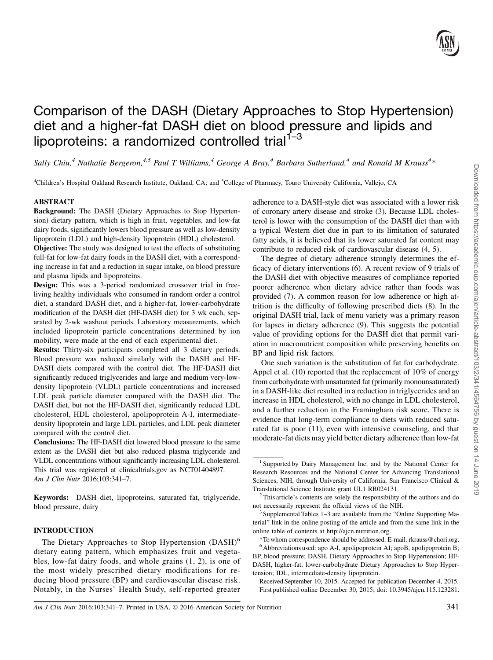# Comparison of the DASH (Dietary Approaches to Stop Hypertension) diet and a higher-fat DASH diet on blood pressure and lipids and lipoproteins: a randomized controlled trial<sup>1-3</sup>

Sally Chiu,<sup>4</sup> Nathalie Bergeron,<sup>4,5</sup> Paul T Williams,<sup>4</sup> George A Bray,<sup>4</sup> Barbara Sutherland,<sup>4</sup> and Ronald M Krauss<sup>4</sup>\*

<sup>4</sup>Children's Hospital Oakland Research Institute, Oakland, CA; and <sup>5</sup>College of Pharmacy, Touro University California, Vallejo, CA

# ABSTRACT

Background: The DASH (Dietary Approaches to Stop Hypertension) dietary pattern, which is high in fruit, vegetables, and low-fat dairy foods, significantly lowers blood pressure as well as low-density lipoprotein (LDL) and high-density lipoprotein (HDL) cholesterol.

Objective: The study was designed to test the effects of substituting full-fat for low-fat dairy foods in the DASH diet, with a corresponding increase in fat and a reduction in sugar intake, on blood pressure and plasma lipids and lipoproteins.

Design: This was a 3-period randomized crossover trial in freeliving healthy individuals who consumed in random order a control diet, a standard DASH diet, and a higher-fat, lower-carbohydrate modification of the DASH diet (HF-DASH diet) for 3 wk each, separated by 2-wk washout periods. Laboratory measurements, which included lipoprotein particle concentrations determined by ion mobility, were made at the end of each experimental diet.

Results: Thirty-six participants completed all 3 dietary periods. Blood pressure was reduced similarly with the DASH and HF-DASH diets compared with the control diet. The HF-DASH diet significantly reduced triglycerides and large and medium very-lowdensity lipoprotein (VLDL) particle concentrations and increased LDL peak particle diameter compared with the DASH diet. The DASH diet, but not the HF-DASH diet, significantly reduced LDL cholesterol, HDL cholesterol, apolipoprotein A-I, intermediatedensity lipoprotein and large LDL particles, and LDL peak diameter compared with the control diet.

Conclusions: The HF-DASH diet lowered blood pressure to the same extent as the DASH diet but also reduced plasma triglyceride and VLDL concentrations without significantly increasing LDL cholesterol. This trial was registered at clinicaltrials.gov as NCT01404897. Am J Clin Nutr 2016;103:341–7.

Keywords: DASH diet, lipoproteins, saturated fat, triglyceride, blood pressure, dairy

## INTRODUCTION

adherence to a DASH-style diet was associated with a lower risk of coronary artery disease and stroke (3). Because LDL cholesterol is lower with the consumption of the DASH diet than with a typical Western diet due in part to its limitation of saturated fatty acids, it is believed that its lower saturated fat content may contribute to reduced risk of cardiovascular disease (4, 5).

The degree of dietary adherence strongly determines the efficacy of dietary interventions (6). A recent review of 9 trials of the DASH diet with objective measures of compliance reported poorer adherence when dietary advice rather than foods was provided (7). A common reason for low adherence or high attrition is the difficulty of following prescribed diets (8). In the original DASH trial, lack of menu variety was a primary reason for lapses in dietary adherence (9). This suggests the potential value of providing options for the DASH diet that permit variation in macronutrient composition while preserving benefits on BP and lipid risk factors.

One such variation is the substitution of fat for carbohydrate. Appel et al. (10) reported that the replacement of 10% of energy from carbohydrate with unsaturated fat (primarily monounsaturated) in a DASH-like diet resulted in a reduction in triglycerides and an increase in HDL cholesterol, with no change in LDL cholesterol, and a further reduction in the Framingham risk score. There is evidence that long-term compliance to diets with reduced saturated fat is poor (11), even with intensive counseling, and that moderate-fat diets may yield better dietary adherence than low-fat

Received September 10, 2015. Accepted for publication December 4, 2015. First published online December 30, 2015; doi: 10.3945/ajcn.115.123281.

Am J Clin Nutr 2016;103:341–7. Printed in USA. © 2016 American Society for Nutrition 341

The Dietary Approaches to Stop Hypertension (DASH)<sup>6</sup> dietary eating pattern, which emphasizes fruit and vegetables, low-fat dairy foods, and whole grains (1, 2), is one of the most widely prescribed dietary modifications for reducing blood pressure (BP) and cardiovascular disease risk. Notably, in the Nurses' Health Study, self-reported greater

<sup>&</sup>lt;sup>1</sup> Supported by Dairy Management Inc. and by the National Center for Research Resources and the National Center for Advancing Translational Sciences, NIH, through University of California, San Francisco Clinical & Translational Science Institute grant UL1 RR024131.

 $2$ <sup>2</sup> This article's contents are solely the responsibility of the authors and do not necessarily represent the official views of the NIH.<br><sup>3</sup> Supplemental Tables 1–3 are available from the "Online Supporting Ma-

terial" link in the online posting of the article and from the same link in the online table of contents at http://ajcn.nutrition.org.

<sup>\*</sup>To whom correspondence should be addressed. E-mail. rkrauss@chori.org. <sup>6</sup> Abbreviations used: apo A-I, apolipoprotein AI; apoB, apolipoprotein B; BP, blood pressure; DASH, Dietary Approaches to Stop Hypertension; HF-DASH, higher-fat, lower-carbohydrate Dietary Approaches to Stop Hypertension; IDL, intermediate-density lipoprotein.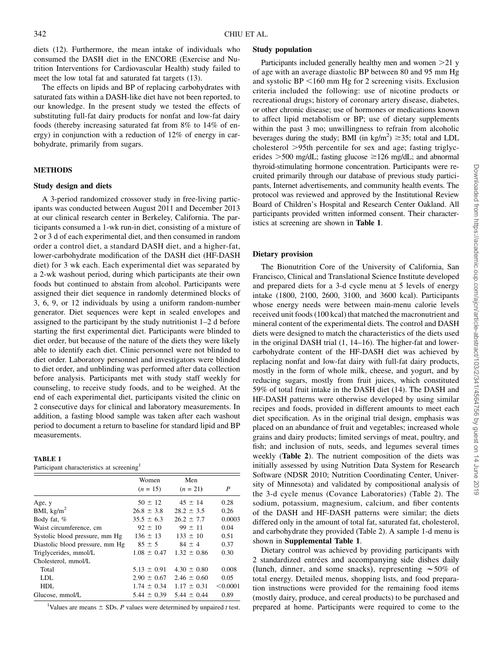diets (12). Furthermore, the mean intake of individuals who consumed the DASH diet in the ENCORE (Exercise and Nutrition Interventions for Cardiovascular Health) study failed to meet the low total fat and saturated fat targets (13).

The effects on lipids and BP of replacing carbohydrates with saturated fats within a DASH-like diet have not been reported, to our knowledge. In the present study we tested the effects of substituting full-fat dairy products for nonfat and low-fat dairy foods (thereby increasing saturated fat from 8% to 14% of energy) in conjunction with a reduction of 12% of energy in carbohydrate, primarily from sugars.

# **METHODS**

#### Study design and diets

A 3-period randomized crossover study in free-living participants was conducted between August 2011 and December 2013 at our clinical research center in Berkeley, California. The participants consumed a 1-wk run-in diet, consisting of a mixture of 2 or 3 d of each experimental diet, and then consumed in random order a control diet, a standard DASH diet, and a higher-fat, lower-carbohydrate modification of the DASH diet (HF-DASH diet) for 3 wk each. Each experimental diet was separated by a 2-wk washout period, during which participants ate their own foods but continued to abstain from alcohol. Participants were assigned their diet sequence in randomly determined blocks of 3, 6, 9, or 12 individuals by using a uniform random-number generator. Diet sequences were kept in sealed envelopes and assigned to the participant by the study nutritionist 1–2 d before starting the first experimental diet. Participants were blinded to diet order, but because of the nature of the diets they were likely able to identify each diet. Clinic personnel were not blinded to diet order. Laboratory personnel and investigators were blinded to diet order, and unblinding was performed after data collection before analysis. Participants met with study staff weekly for counseling, to receive study foods, and to be weighed. At the end of each experimental diet, participants visited the clinic on 2 consecutive days for clinical and laboratory measurements. In addition, a fasting blood sample was taken after each washout period to document a return to baseline for standard lipid and BP measurements.

#### TABLE 1

Participant characteristics at screening<sup>1</sup>

|                                 | Women           | Men             |          |
|---------------------------------|-----------------|-----------------|----------|
|                                 | $(n = 15)$      | $(n = 21)$      | P        |
| Age, y                          | $50 \pm 12$     | $45 \pm 14$     | 0.28     |
| BMI, $\text{kg/m}^2$            | $26.8 \pm 3.8$  | $28.2 \pm 3.5$  | 0.26     |
| Body fat, %                     | $35.5 \pm 6.3$  | $26.2 \pm 7.7$  | 0.0003   |
| Waist circumference, cm         | $92 \pm 10$     | $99 \pm 11$     | 0.04     |
| Systolic blood pressure, mm Hg  | $136 \pm 13$    | $133 \pm 10$    | 0.51     |
| Diastolic blood pressure, mm Hg | $85 \pm 5$      | $84 \pm 4$      | 0.37     |
| Triglycerides, mmol/L           | $1.08 \pm 0.47$ | $1.32 \pm 0.86$ | 0.30     |
| Cholesterol, mmol/L             |                 |                 |          |
| Total                           | $5.13 \pm 0.91$ | $4.30 \pm 0.80$ | 0.008    |
| LDL.                            | $2.90 \pm 0.67$ | $2.46 \pm 0.60$ | 0.05     |
| HDL.                            | $1.74 \pm 0.34$ | $1.17 \pm 0.31$ | < 0.0001 |
| Glucose, mmol/L                 | $5.44 \pm 0.39$ | $5.44 \pm 0.44$ | 0.89     |

<sup>1</sup>Values are means  $\pm$  SDs. *P* values were determined by unpaired *t* test.

#### Study population

Participants included generally healthy men and women  $>21$  y of age with an average diastolic BP between 80 and 95 mm Hg and systolic  $BP < 160$  mm Hg for 2 screening visits. Exclusion criteria included the following: use of nicotine products or recreational drugs; history of coronary artery disease, diabetes, or other chronic disease; use of hormones or medications known to affect lipid metabolism or BP; use of dietary supplements within the past 3 mo; unwillingness to refrain from alcoholic beverages during the study; BMI (in kg/m<sup>2</sup>)  $\geq$ 35; total and LDL cholesterol  $>95$ th percentile for sex and age; fasting triglycerides  $>500$  mg/dL; fasting glucose  $\geq 126$  mg/dL; and abnormal thyroid-stimulating hormone concentration. Participants were recruited primarily through our database of previous study participants, Internet advertisements, and community health events. The protocol was reviewed and approved by the Institutional Review Board of Children's Hospital and Research Center Oakland. All participants provided written informed consent. Their characteristics at screening are shown in Table 1.

# Dietary provision

The Bionutrition Core of the University of California, San Francisco, Clinical and Translational Science Institute developed and prepared diets for a 3-d cycle menu at 5 levels of energy intake (1800, 2100, 2600, 3100, and 3600 kcal). Participants whose energy needs were between main-menu calorie levels received unit foods (100 kcal) that matched the macronutrient and mineral content of the experimental diets. The control and DASH diets were designed to match the characteristics of the diets used in the original DASH trial (1, 14–16). The higher-fat and lowercarbohydrate content of the HF-DASH diet was achieved by replacing nonfat and low-fat dairy with full-fat dairy products, mostly in the form of whole milk, cheese, and yogurt, and by reducing sugars, mostly from fruit juices, which constituted 59% of total fruit intake in the DASH diet (14). The DASH and HF-DASH patterns were otherwise developed by using similar recipes and foods, provided in different amounts to meet each diet specification. As in the original trial design, emphasis was placed on an abundance of fruit and vegetables; increased whole grains and dairy products; limited servings of meat, poultry, and fish; and inclusion of nuts, seeds, and legumes several times weekly (Table 2). The nutrient composition of the diets was initially assessed by using Nutrition Data System for Research Software (NDSR 2010; Nutrition Coordinating Center, University of Minnesota) and validated by compositional analysis of the 3-d cycle menus (Covance Laboratories) (Table 2). The sodium, potassium, magnesium, calcium, and fiber contents of the DASH and HF-DASH patterns were similar; the diets differed only in the amount of total fat, saturated fat, cholesterol, and carbohydrate they provided (Table 2). A sample 1-d menu is shown in Supplemental Table 1.

Dietary control was achieved by providing participants with 2 standardized entrées and accompanying side dishes daily (lunch, dinner, and some snacks), representing  $\sim 50\%$  of total energy. Detailed menus, shopping lists, and food preparation instructions were provided for the remaining food items (mostly dairy, produce, and cereal products) to be purchased and prepared at home. Participants were required to come to the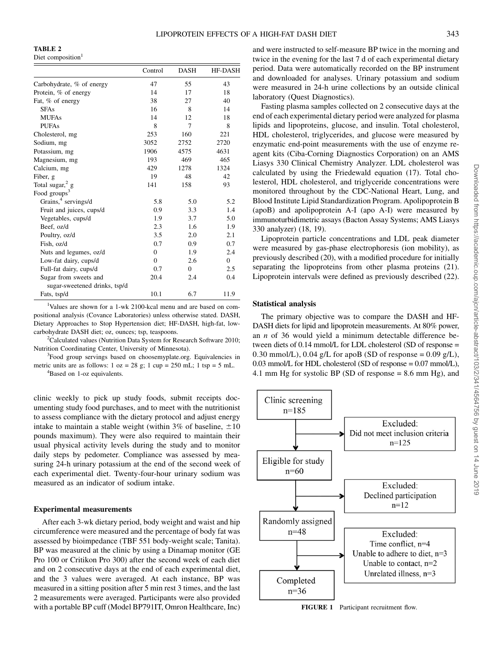TABLE 2

Diet composition<sup>1</sup>

|                                 | Control      | <b>DASH</b>    | <b>HF-DASH</b> |
|---------------------------------|--------------|----------------|----------------|
| Carbohydrate, % of energy       | 47           | 55             | 43             |
| Protein, % of energy            | 14           | 17             | 18             |
| Fat, % of energy                | 38           | 27             | 40             |
| <b>SFAs</b>                     | 16           | 8              | 14             |
| <b>MUFAs</b>                    | 14           | 12             | 18             |
| <b>PUFAs</b>                    | 8            | 7              | 8              |
| Cholesterol, mg                 | 253          | 160            | 221            |
| Sodium, mg                      | 3052         | 2752           | 2720           |
| Potassium, mg                   | 1906         | 4575           | 4631           |
| Magnesium, mg                   | 193          | 469            | 465            |
| Calcium, mg                     | 429          | 1278           | 1324           |
| Fiber, g                        | 19           | 48             | 42             |
| Total sugar, $2 g$              | 141          | 158            | 93             |
| Food groups <sup>3</sup>        |              |                |                |
| Grains, <sup>4</sup> servings/d | 5.8          | 5.0            | 5.2            |
| Fruit and juices, cups/d        | 0.9          | 3.3            | 1.4            |
| Vegetables, cups/d              | 1.9          | 3.7            | 5.0            |
| Beef, oz/d                      | 2.3          | 1.6            | 1.9            |
| Poultry, oz/d                   | 3.5          | 2.0            | 2.1            |
| Fish, oz/d                      | 0.7          | 0.9            | 0.7            |
| Nuts and legumes, oz/d          | $\mathbf{0}$ | 1.9            | 2.4            |
| Low-fat dairy, cups/d           | $\mathbf{0}$ | 2.6            | $\Omega$       |
| Full-fat dairy, cups/d          | 0.7          | $\overline{0}$ | 2.5            |
| Sugar from sweets and           | 20.4         | 2.4            | 0.4            |
| sugar-sweetened drinks, tsp/d   |              |                |                |
| Fats, tsp/d                     | 10.1         | 6.7            | 11.9           |

<sup>1</sup>Values are shown for a 1-wk 2100-kcal menu and are based on compositional analysis (Covance Laboratories) unless otherwise stated. DASH, Dietary Approaches to Stop Hypertension diet; HF-DASH, high-fat, lowcarbohydrate DASH diet; oz, ounces; tsp, teaspoons.

<sup>2</sup>Calculated values (Nutrition Data System for Research Software 2010; Nutrition Coordinating Center, University of Minnesota). <sup>3</sup>

 $3$ Food group servings based on choosemyplate.org. Equivalencies in metric units are as follows:  $1 oz = 28 g$ ;  $1 cup = 250 mL$ ;  $1 tsp = 5 mL$ .

<sup>4</sup>Based on 1-oz equivalents.

clinic weekly to pick up study foods, submit receipts documenting study food purchases, and to meet with the nutritionist to assess compliance with the dietary protocol and adjust energy intake to maintain a stable weight (within 3% of baseline,  $\pm 10$ ) pounds maximum). They were also required to maintain their usual physical activity levels during the study and to monitor daily steps by pedometer. Compliance was assessed by measuring 24-h urinary potassium at the end of the second week of each experimental diet. Twenty-four-hour urinary sodium was measured as an indicator of sodium intake.

### Experimental measurements

After each 3-wk dietary period, body weight and waist and hip circumference were measured and the percentage of body fat was assessed by bioimpedance (TBF 551 body-weight scale; Tanita). BP was measured at the clinic by using a Dinamap monitor (GE Pro 100 or Critikon Pro 300) after the second week of each diet and on 2 consecutive days at the end of each experimental diet, and the 3 values were averaged. At each instance, BP was measured in a sitting position after 5 min rest 3 times, and the last 2 measurements were averaged. Participants were also provided with a portable BP cuff (Model BP791IT, Omron Healthcare, Inc)

and were instructed to self-measure BP twice in the morning and twice in the evening for the last 7 d of each experimental dietary period. Data were automatically recorded on the BP instrument and downloaded for analyses. Urinary potassium and sodium were measured in 24-h urine collections by an outside clinical laboratory (Quest Diagnostics).

Fasting plasma samples collected on 2 consecutive days at the end of each experimental dietary period were analyzed for plasma lipids and lipoproteins, glucose, and insulin. Total cholesterol, HDL cholesterol, triglycerides, and glucose were measured by enzymatic end-point measurements with the use of enzyme reagent kits (Ciba-Corning Diagnostics Corporation) on an AMS Liasys 330 Clinical Chemistry Analyzer. LDL cholesterol was calculated by using the Friedewald equation (17). Total cholesterol, HDL cholesterol, and triglyceride concentrations were monitored throughout by the CDC-National Heart, Lung, and Blood Institute Lipid Standardization Program. Apolipoprotein B (apoB) and apolipoprotein A-I (apo A-I) were measured by immunoturbidimetric assays (Bacton Assay Systems; AMS Liasys 330 analyzer) (18, 19).

Lipoprotein particle concentrations and LDL peak diameter were measured by gas-phase electrophoresis (ion mobility), as previously described (20), with a modified procedure for initially separating the lipoproteins from other plasma proteins (21). Lipoprotein intervals were defined as previously described (22).

### Statistical analysis

The primary objective was to compare the DASH and HF-DASH diets for lipid and lipoprotein measurements. At 80% power, an n of 36 would yield a minimum detectable difference between diets of 0.14 mmol/L for LDL cholesterol (SD of response = 0.30 mmol/L), 0.04 g/L for apoB (SD of response =  $0.09$  g/L), 0.03 mmol/L for HDL cholesterol (SD of response = 0.07 mmol/L), 4.1 mm Hg for systolic BP (SD of response = 8.6 mm Hg), and



FIGURE 1 Participant recruitment flow.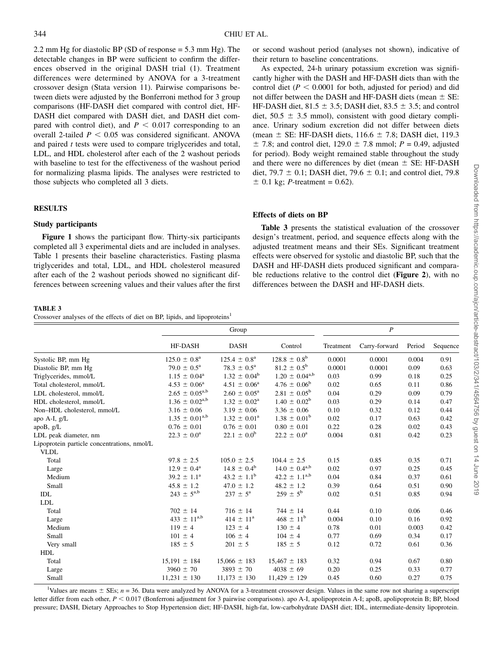2.2 mm Hg for diastolic BP (SD of response = 5.3 mm Hg). The detectable changes in BP were sufficient to confirm the differences observed in the original DASH trial (1). Treatment differences were determined by ANOVA for a 3-treatment crossover design (Stata version 11). Pairwise comparisons between diets were adjusted by the Bonferroni method for 3 group comparisons (HF-DASH diet compared with control diet, HF-DASH diet compared with DASH diet, and DASH diet compared with control diet), and  $P < 0.017$  corresponding to an overall 2-tailed  $P < 0.05$  was considered significant. ANOVA and paired  $t$  tests were used to compare triglycerides and total, LDL, and HDL cholesterol after each of the 2 washout periods with baseline to test for the effectiveness of the washout period for normalizing plasma lipids. The analyses were restricted to those subjects who completed all 3 diets.

# RESULTS

### Study participants

Figure 1 shows the participant flow. Thirty-six participants completed all 3 experimental diets and are included in analyses. Table 1 presents their baseline characteristics. Fasting plasma triglycerides and total, LDL, and HDL cholesterol measured after each of the 2 washout periods showed no significant differences between screening values and their values after the first

## TABLE 3

Crossover analyses of the effects of diet on BP, lipids, and lipoproteins<sup>1</sup>

or second washout period (analyses not shown), indicative of their return to baseline concentrations.

As expected, 24-h urinary potassium excretion was significantly higher with the DASH and HF-DASH diets than with the control diet ( $P < 0.0001$  for both, adjusted for period) and did not differ between the DASH and HF-DASH diets (mean  $\pm$  SE: HF-DASH diet,  $81.5 \pm 3.5$ ; DASH diet,  $83.5 \pm 3.5$ ; and control diet,  $50.5 \pm 3.5$  mmol), consistent with good dietary compliance. Urinary sodium excretion did not differ between diets (mean  $\pm$  SE: HF-DASH diets, 116.6  $\pm$  7.8; DASH diet, 119.3  $\pm$  7.8; and control diet, 129.0  $\pm$  7.8 mmol; P = 0.49, adjusted for period). Body weight remained stable throughout the study and there were no differences by diet (mean  $\pm$  SE: HF-DASH diet, 79.7  $\pm$  0.1; DASH diet, 79.6  $\pm$  0.1; and control diet, 79.8  $\pm$  0.1 kg; *P*-treatment = 0.62).

## Effects of diets on BP

Table 3 presents the statistical evaluation of the crossover design's treatment, period, and sequence effects along with the adjusted treatment means and their SEs. Significant treatment effects were observed for systolic and diastolic BP, such that the DASH and HF-DASH diets produced significant and comparable reductions relative to the control diet (Figure 2), with no differences between the DASH and HF-DASH diets.

|                                             |                            | Group                      |                           |           | $\boldsymbol{P}$ |        |          |
|---------------------------------------------|----------------------------|----------------------------|---------------------------|-----------|------------------|--------|----------|
|                                             | HF-DASH                    | <b>DASH</b>                | Control                   | Treatment | Carry-forward    | Period | Sequence |
| Systolic BP, mm Hg                          | $125.0 \pm 0.8^a$          | $125.4 \pm 0.8^{\text{a}}$ | $128.8 \pm 0.8^b$         | 0.0001    | 0.0001           | 0.004  | 0.91     |
| Diastolic BP, mm Hg                         | $79.0 \pm 0.5^{\text{a}}$  | $78.3 \pm 0.5^{\text{a}}$  | $81.2 \pm 0.5^{\rm b}$    | 0.0001    | 0.0001           | 0.09   | 0.63     |
| Triglycerides, mmol/L                       | $1.15 \pm 0.04^{\text{a}}$ | $1.32 \pm 0.04^{\rm b}$    | $1.20 \pm 0.04^{a,b}$     | 0.03      | 0.99             | 0.18   | 0.25     |
| Total cholesterol, mmol/L                   | $4.53 \pm 0.06^a$          | $4.51 \pm 0.06^a$          | $4.76 \pm 0.06^b$         | 0.02      | 0.65             | 0.11   | 0.86     |
| LDL cholesterol, mmol/L                     | $2.65 \pm 0.05^{a,b}$      | $2.60 \pm 0.05^{\text{a}}$ | $2.81 \pm 0.05^{\rm b}$   | 0.04      | 0.29             | 0.09   | 0.79     |
| HDL cholesterol, mmol/L                     | $1.36 \pm 0.02^{a,b}$      | $1.32 \pm 0.02^a$          | $1.40 \pm 0.02^b$         | 0.03      | 0.29             | 0.14   | 0.47     |
| Non-HDL cholesterol, mmol/L                 | $3.16 \pm 0.06$            | $3.19 \pm 0.06$            | $3.36 \pm 0.06$           | 0.10      | 0.32             | 0.12   | 0.44     |
| apo A-I, g/L                                | $1.35 \pm 0.01^{a,b}$      | $1.32 \pm 0.01^a$          | $1.38 \pm 0.01^{\rm b}$   | 0.02      | 0.17             | 0.63   | 0.42     |
| apoB, g/L                                   | $0.76 \pm 0.01$            | $0.76 \pm 0.01$            | $0.80 \pm 0.01$           | 0.22      | 0.28             | 0.02   | 0.43     |
| LDL peak diameter, nm                       | $22.3 \pm 0.0^{\rm a}$     | $22.1 \pm 0.0^b$           | $22.2 \pm 0.0^{\text{a}}$ | 0.004     | 0.81             | 0.42   | 0.23     |
| Lipoprotein particle concentrations, nmol/L |                            |                            |                           |           |                  |        |          |
| <b>VLDL</b>                                 |                            |                            |                           |           |                  |        |          |
| Total                                       | $97.8 \pm 2.5$             | $105.0 \pm 2.5$            | $104.4 \pm 2.5$           | 0.15      | 0.85             | 0.35   | 0.71     |
| Large                                       | $12.9 \pm 0.4^{\text{a}}$  | $14.8 \pm 0.4^b$           | $14.0 \pm 0.4^{a,b}$      | 0.02      | 0.97             | 0.25   | 0.45     |
| Medium                                      | $39.2 \pm 1.1^a$           | $43.2 \pm 1.1^{\rm b}$     | $42.2 \pm 1.1^{a,b}$      | 0.04      | 0.84             | 0.37   | 0.61     |
| Small                                       | $45.8 \pm 1.2$             | $47.0 \pm 1.2$             | $48.2 \pm 1.2$            | 0.39      | 0.64             | 0.51   | 0.90     |
| <b>IDL</b>                                  | $243 \pm 5^{a,b}$          | $237 \pm 5^{\rm a}$        | $259 \pm 5^{\rm b}$       | 0.02      | 0.51             | 0.85   | 0.94     |
| <b>LDL</b>                                  |                            |                            |                           |           |                  |        |          |
| Total                                       | $702 \pm 14$               | $716 \pm 14$               | $744 \pm 14$              | 0.44      | 0.10             | 0.06   | 0.46     |
| Large                                       | $433 \pm 11^{a,b}$         | $414 \pm 11^a$             | $468 \pm 11^b$            | 0.004     | 0.10             | 0.16   | 0.92     |
| Medium                                      | $119 \pm 4$                | $123 \pm 4$                | $130 \pm 4$               | 0.78      | 0.01             | 0.003  | 0.42     |
| Small                                       | $101 \pm 4$                | $106 \pm 4$                | $104 \pm 4$               | 0.77      | 0.69             | 0.34   | 0.17     |
| Very small                                  | $185 \pm 5$                | $201 \pm 5$                | $185 \pm 5$               | 0.12      | 0.72             | 0.61   | 0.36     |
| HDL                                         |                            |                            |                           |           |                  |        |          |
| Total                                       | $15,191 \pm 184$           | $15,066 \pm 183$           | $15,467 \pm 183$          | 0.32      | 0.94             | 0.67   | 0.80     |
| Large                                       | $3960 \pm 70$              | $3893 \pm 70$              | $4038 \pm 69$             | 0.20      | 0.25             | 0.33   | 0.77     |
| Small                                       | $11,231 \pm 130$           | $11,173 \pm 130$           | $11,429 \pm 129$          | 0.45      | 0.60             | 0.27   | 0.75     |

<sup>1</sup>Values are means  $\pm$  SEs;  $n = 36$ . Data were analyzed by ANOVA for a 3-treatment crossover design. Values in the same row not sharing a superscript letter differ from each other,  $P < 0.017$  (Bonferroni adjustment for 3 pairwise comparisons). apo A-I, apolipoprotein A-I; apoB, apolipoprotein B; BP, blood pressure; DASH, Dietary Approaches to Stop Hypertension diet; HF-DASH, high-fat, low-carbohydrate DASH diet; IDL, intermediate-density lipoprotein.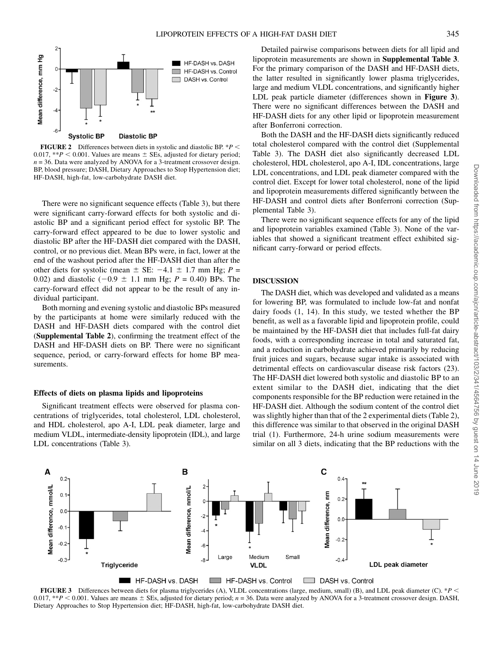

FIGURE 2 Differences between diets in systolic and diastolic BP.  $*P$  < 0.017, \*\* $P < 0.001$ . Values are means  $\pm$  SEs, adjusted for dietary period;  $n = 36$ . Data were analyzed by ANOVA for a 3-treatment crossover design. BP, blood pressure; DASH, Dietary Approaches to Stop Hypertension diet; HF-DASH, high-fat, low-carbohydrate DASH diet.

There were no significant sequence effects (Table 3), but there were significant carry-forward effects for both systolic and diastolic BP and a significant period effect for systolic BP. The carry-forward effect appeared to be due to lower systolic and diastolic BP after the HF-DASH diet compared with the DASH, control, or no previous diet. Mean BPs were, in fact, lower at the end of the washout period after the HF-DASH diet than after the other diets for systolic (mean  $\pm$  SE:  $-4.1 \pm 1.7$  mm Hg; P = 0.02) and diastolic (-0.9  $\pm$  1.1 mm Hg; P = 0.40) BPs. The carry-forward effect did not appear to be the result of any individual participant.

Both morning and evening systolic and diastolic BPs measured by the participants at home were similarly reduced with the DASH and HF-DASH diets compared with the control diet (Supplemental Table 2), confirming the treatment effect of the DASH and HF-DASH diets on BP. There were no significant sequence, period, or carry-forward effects for home BP measurements.

#### Effects of diets on plasma lipids and lipoproteins

Significant treatment effects were observed for plasma concentrations of triglycerides, total cholesterol, LDL cholesterol, and HDL cholesterol, apo A-I, LDL peak diameter, large and medium VLDL, intermediate-density lipoprotein (IDL), and large LDL concentrations (Table 3).

Detailed pairwise comparisons between diets for all lipid and lipoprotein measurements are shown in Supplemental Table 3. For the primary comparison of the DASH and HF-DASH diets, the latter resulted in significantly lower plasma triglycerides, large and medium VLDL concentrations, and significantly higher LDL peak particle diameter (differences shown in Figure 3). There were no significant differences between the DASH and HF-DASH diets for any other lipid or lipoprotein measurement after Bonferroni correction.

Both the DASH and the HF-DASH diets significantly reduced total cholesterol compared with the control diet (Supplemental Table 3). The DASH diet also significantly decreased LDL cholesterol, HDL cholesterol, apo A-I, IDL concentrations, large LDL concentrations, and LDL peak diameter compared with the control diet. Except for lower total cholesterol, none of the lipid and lipoprotein measurements differed significantly between the HF-DASH and control diets after Bonferroni correction (Supplemental Table 3).

There were no significant sequence effects for any of the lipid and lipoprotein variables examined (Table 3). None of the variables that showed a significant treatment effect exhibited significant carry-forward or period effects.

#### DISCUSSION

The DASH diet, which was developed and validated as a means for lowering BP, was formulated to include low-fat and nonfat dairy foods (1, 14). In this study, we tested whether the BP benefit, as well as a favorable lipid and lipoprotein profile, could be maintained by the HF-DASH diet that includes full-fat dairy foods, with a corresponding increase in total and saturated fat, and a reduction in carbohydrate achieved primarily by reducing fruit juices and sugars, because sugar intake is associated with detrimental effects on cardiovascular disease risk factors (23). The HF-DASH diet lowered both systolic and diastolic BP to an extent similar to the DASH diet, indicating that the diet components responsible for the BP reduction were retained in the HF-DASH diet. Although the sodium content of the control diet was slightly higher than that of the 2 experimental diets (Table 2), this difference was similar to that observed in the original DASH trial (1). Furthermore, 24-h urine sodium measurements were similar on all 3 diets, indicating that the BP reductions with the



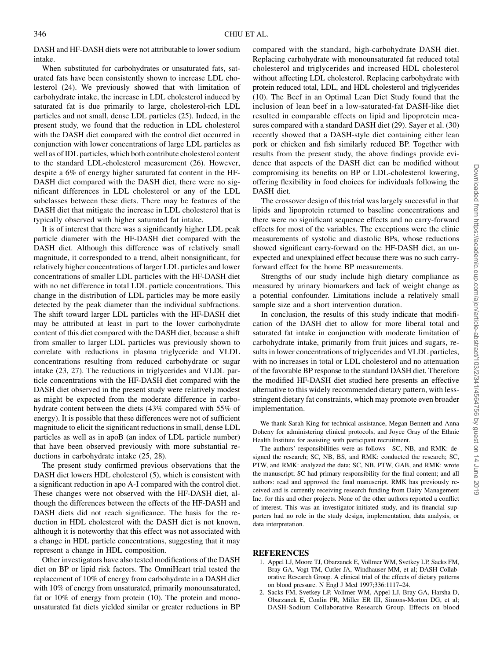DASH and HF-DASH diets were not attributable to lower sodium intake.

When substituted for carbohydrates or unsaturated fats, saturated fats have been consistently shown to increase LDL cholesterol (24). We previously showed that with limitation of carbohydrate intake, the increase in LDL cholesterol induced by saturated fat is due primarily to large, cholesterol-rich LDL particles and not small, dense LDL particles (25). Indeed, in the present study, we found that the reduction in LDL cholesterol with the DASH diet compared with the control diet occurred in conjunction with lower concentrations of large LDL particles as well as of IDL particles, which both contribute cholesterol content to the standard LDL-cholesterol measurement (26). However, despite a 6% of energy higher saturated fat content in the HF-DASH diet compared with the DASH diet, there were no significant differences in LDL cholesterol or any of the LDL subclasses between these diets. There may be features of the DASH diet that mitigate the increase in LDL cholesterol that is typically observed with higher saturated fat intake.

It is of interest that there was a significantly higher LDL peak particle diameter with the HF-DASH diet compared with the DASH diet. Although this difference was of relatively small magnitude, it corresponded to a trend, albeit nonsignificant, for relatively higher concentrations of larger LDL particles and lower concentrations of smaller LDL particles with the HF-DASH diet with no net difference in total LDL particle concentrations. This change in the distribution of LDL particles may be more easily detected by the peak diameter than the individual subfractions. The shift toward larger LDL particles with the HF-DASH diet may be attributed at least in part to the lower carbohydrate content of this diet compared with the DASH diet, because a shift from smaller to larger LDL particles was previously shown to correlate with reductions in plasma triglyceride and VLDL concentrations resulting from reduced carbohydrate or sugar intake (23, 27). The reductions in triglycerides and VLDL particle concentrations with the HF-DASH diet compared with the DASH diet observed in the present study were relatively modest as might be expected from the moderate difference in carbohydrate content between the diets (43% compared with 55% of energy). It is possible that these differences were not of sufficient magnitude to elicit the significant reductions in small, dense LDL particles as well as in apoB (an index of LDL particle number) that have been observed previously with more substantial reductions in carbohydrate intake (25, 28).

The present study confirmed previous observations that the DASH diet lowers HDL cholesterol (5), which is consistent with a significant reduction in apo A-I compared with the control diet. These changes were not observed with the HF-DASH diet, although the differences between the effects of the HF-DASH and DASH diets did not reach significance. The basis for the reduction in HDL cholesterol with the DASH diet is not known, although it is noteworthy that this effect was not associated with a change in HDL particle concentrations, suggesting that it may represent a change in HDL composition.

Other investigators have also tested modifications of the DASH diet on BP or lipid risk factors. The OmniHeart trial tested the replacement of 10% of energy from carbohydrate in a DASH diet with 10% of energy from unsaturated, primarily monounsaturated, fat or 10% of energy from protein (10). The protein and monounsaturated fat diets yielded similar or greater reductions in BP

compared with the standard, high-carbohydrate DASH diet. Replacing carbohydrate with monounsaturated fat reduced total cholesterol and triglycerides and increased HDL cholesterol without affecting LDL cholesterol. Replacing carbohydrate with protein reduced total, LDL, and HDL cholesterol and triglycerides (10). The Beef in an Optimal Lean Diet Study found that the inclusion of lean beef in a low-saturated-fat DASH-like diet resulted in comparable effects on lipid and lipoprotein measures compared with a standard DASH diet (29). Sayer et al. (30) recently showed that a DASH-style diet containing either lean pork or chicken and fish similarly reduced BP. Together with results from the present study, the above findings provide evidence that aspects of the DASH diet can be modified without compromising its benefits on BP or LDL-cholesterol lowering, offering flexibility in food choices for individuals following the DASH diet.

The crossover design of this trial was largely successful in that lipids and lipoprotein returned to baseline concentrations and there were no significant sequence effects and no carry-forward effects for most of the variables. The exceptions were the clinic measurements of systolic and diastolic BPs, whose reductions showed significant carry-forward on the HF-DASH diet, an unexpected and unexplained effect because there was no such carryforward effect for the home BP measurements.

Strengths of our study include high dietary compliance as measured by urinary biomarkers and lack of weight change as a potential confounder. Limitations include a relatively small sample size and a short intervention duration.

In conclusion, the results of this study indicate that modification of the DASH diet to allow for more liberal total and saturated fat intake in conjunction with moderate limitation of carbohydrate intake, primarily from fruit juices and sugars, results in lower concentrations of triglycerides and VLDL particles, with no increases in total or LDL cholesterol and no attenuation of the favorable BP response to the standard DASH diet. Therefore the modified HF-DASH diet studied here presents an effective alternative to this widely recommended dietary pattern, with lessstringent dietary fat constraints, which may promote even broader implementation.

We thank Sarah King for technical assistance, Megan Bennett and Anna Doheny for administering clinical protocols, and Joyce Gray of the Ethnic Health Institute for assisting with participant recruitment.

The authors' responsibilities were as follows—SC, NB, and RMK: designed the research; SC, NB, BS, and RMK: conducted the research; SC, PTW, and RMK: analyzed the data; SC, NB, PTW, GAB, and RMK: wrote the manuscript; SC had primary responsibility for the final content; and all authors: read and approved the final manuscript. RMK has previously received and is currently receiving research funding from Dairy Management Inc. for this and other projects. None of the other authors reported a conflict of interest. This was an investigator-initiated study, and its financial supporters had no role in the study design, implementation, data analysis, or data interpretation.

## REFERENCES

- 1. Appel LJ, Moore TJ, Obarzanek E, Vollmer WM, Svetkey LP, Sacks FM, Bray GA, Vogt TM, Cutler JA, Windhauser MM, et al; DASH Collaborative Research Group. A clinical trial of the effects of dietary patterns on blood pressure. N Engl J Med 1997;336:1117–24.
- 2. Sacks FM, Svetkey LP, Vollmer WM, Appel LJ, Bray GA, Harsha D, Obarzanek E, Conlin PR, Miller ER III, Simons-Morton DG, et al; DASH-Sodium Collaborative Research Group. Effects on blood